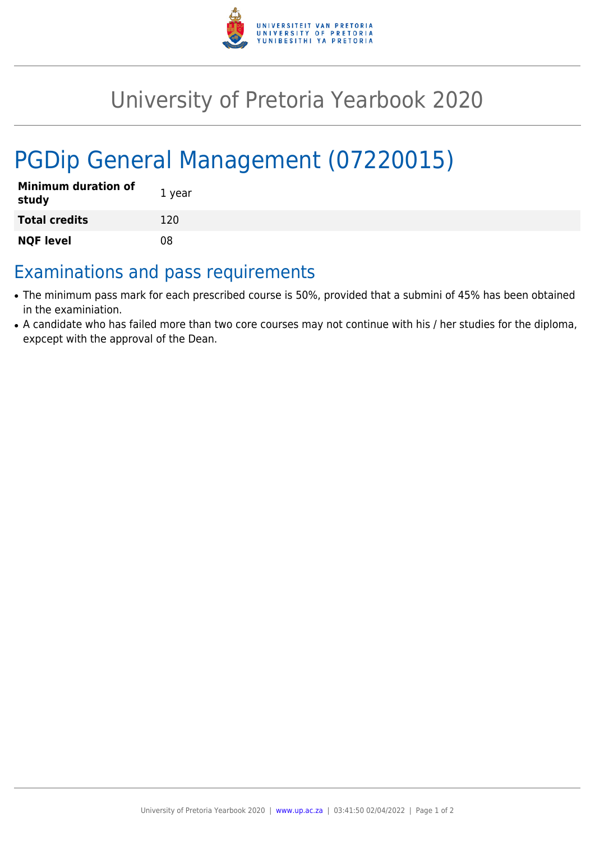

## University of Pretoria Yearbook 2020

# PGDip General Management (07220015)

| <b>Minimum duration of</b><br>study | 1 year |
|-------------------------------------|--------|
| <b>Total credits</b>                | 120    |
| <b>NQF level</b>                    | 08     |

### Examinations and pass requirements

- The minimum pass mark for each prescribed course is 50%, provided that a submini of 45% has been obtained in the examiniation.
- A candidate who has failed more than two core courses may not continue with his / her studies for the diploma, expcept with the approval of the Dean.